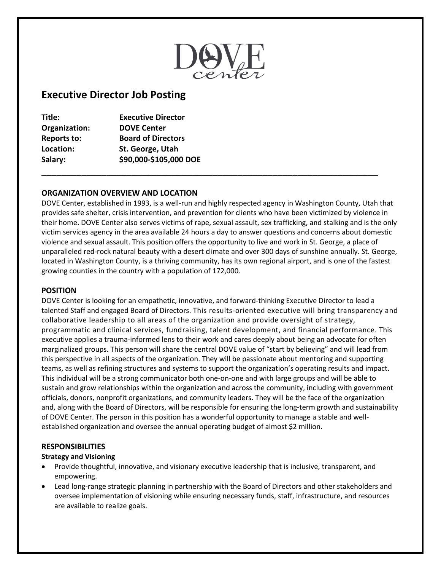

# **Executive Director Job Posting**

| Title:             | <b>Executive Director</b> |  |
|--------------------|---------------------------|--|
| Organization:      | <b>DOVE Center</b>        |  |
| <b>Reports to:</b> | <b>Board of Directors</b> |  |
| Location:          | St. George, Utah          |  |
| Salary:            | \$90,000-\$105,000 DOE    |  |
|                    |                           |  |

# **ORGANIZATION OVERVIEW AND LOCATION**

DOVE Center, established in 1993, is a well-run and highly respected agency in Washington County, Utah that provides safe shelter, crisis intervention, and prevention for clients who have been victimized by violence in their home. DOVE Center also serves victims of rape, sexual assault, sex trafficking, and stalking and is the only victim services agency in the area available 24 hours a day to answer questions and concerns about domestic violence and sexual assault. This position offers the opportunity to live and work in St. George, a place of unparalleled red-rock natural beauty with a desert climate and over 300 days of sunshine annually. St. George, located in Washington County, is a thriving community, has its own regional airport, and is one of the fastest growing counties in the country with a population of 172,000.

#### **POSITION**

DOVE Center is looking for an empathetic, innovative, and forward-thinking Executive Director to lead a talented Staff and engaged Board of Directors. This results-oriented executive will bring transparency and collaborative leadership to all areas of the organization and provide oversight of strategy, programmatic and clinical services, fundraising, talent development, and financial performance. This executive applies a trauma-informed lens to their work and cares deeply about being an advocate for often marginalized groups. This person will share the central DOVE value of "start by believing" and will lead from this perspective in all aspects of the organization. They will be passionate about mentoring and supporting teams, as well as refining structures and systems to support the organization's operating results and impact. This individual will be a strong communicator both one-on-one and with large groups and will be able to sustain and grow relationships within the organization and across the community, including with government officials, donors, nonprofit organizations, and community leaders. They will be the face of the organization and, along with the Board of Directors, will be responsible for ensuring the long-term growth and sustainability of DOVE Center. The person in this position has a wonderful opportunity to manage a stable and wellestablished organization and oversee the annual operating budget of almost \$2 million.

#### **RESPONSIBILITIES**

#### **Strategy and Visioning**

- Provide thoughtful, innovative, and visionary executive leadership that is inclusive, transparent, and empowering.
- Lead long-range strategic planning in partnership with the Board of Directors and other stakeholders and oversee implementation of visioning while ensuring necessary funds, staff, infrastructure, and resources are available to realize goals.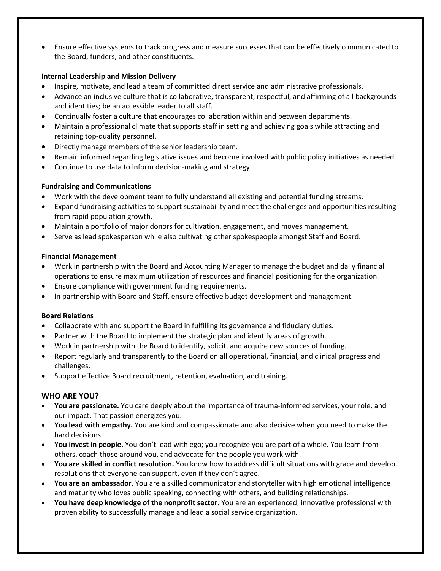• Ensure effective systems to track progress and measure successes that can be effectively communicated to the Board, funders, and other constituents.

## **Internal Leadership and Mission Delivery**

- Inspire, motivate, and lead a team of committed direct service and administrative professionals.
- Advance an inclusive culture that is collaborative, transparent, respectful, and affirming of all backgrounds and identities; be an accessible leader to all staff.
- Continually foster a culture that encourages collaboration within and between departments.
- Maintain a professional climate that supports staff in setting and achieving goals while attracting and retaining top-quality personnel.
- Directly manage members of the senior leadership team.
- Remain informed regarding legislative issues and become involved with public policy initiatives as needed.
- Continue to use data to inform decision-making and strategy.

## **Fundraising and Communications**

- Work with the development team to fully understand all existing and potential funding streams.
- Expand fundraising activities to support sustainability and meet the challenges and opportunities resulting from rapid population growth.
- Maintain a portfolio of major donors for cultivation, engagement, and moves management.
- Serve as lead spokesperson while also cultivating other spokespeople amongst Staff and Board.

#### **Financial Management**

- Work in partnership with the Board and Accounting Manager to manage the budget and daily financial operations to ensure maximum utilization of resources and financial positioning for the organization.
- Ensure compliance with government funding requirements.
- In partnership with Board and Staff, ensure effective budget development and management.

#### **Board Relations**

- Collaborate with and support the Board in fulfilling its governance and fiduciary duties.
- Partner with the Board to implement the strategic plan and identify areas of growth.
- Work in partnership with the Board to identify, solicit, and acquire new sources of funding.
- Report regularly and transparently to the Board on all operational, financial, and clinical progress and challenges.
- Support effective Board recruitment, retention, evaluation, and training.

#### **WHO ARE YOU?**

- **You are passionate.** You care deeply about the importance of trauma-informed services, your role, and our impact. That passion energizes you.
- **You lead with empathy.** You are kind and compassionate and also decisive when you need to make the hard decisions.
- **You invest in people.** You don't lead with ego; you recognize you are part of a whole. You learn from others, coach those around you, and advocate for the people you work with.
- **You are skilled in conflict resolution.** You know how to address difficult situations with grace and develop resolutions that everyone can support, even if they don't agree.
- **You are an ambassador.** You are a skilled communicator and storyteller with high emotional intelligence and maturity who loves public speaking, connecting with others, and building relationships.
- **You have deep knowledge of the nonprofit sector.** You are an experienced, innovative professional with proven ability to successfully manage and lead a social service organization.